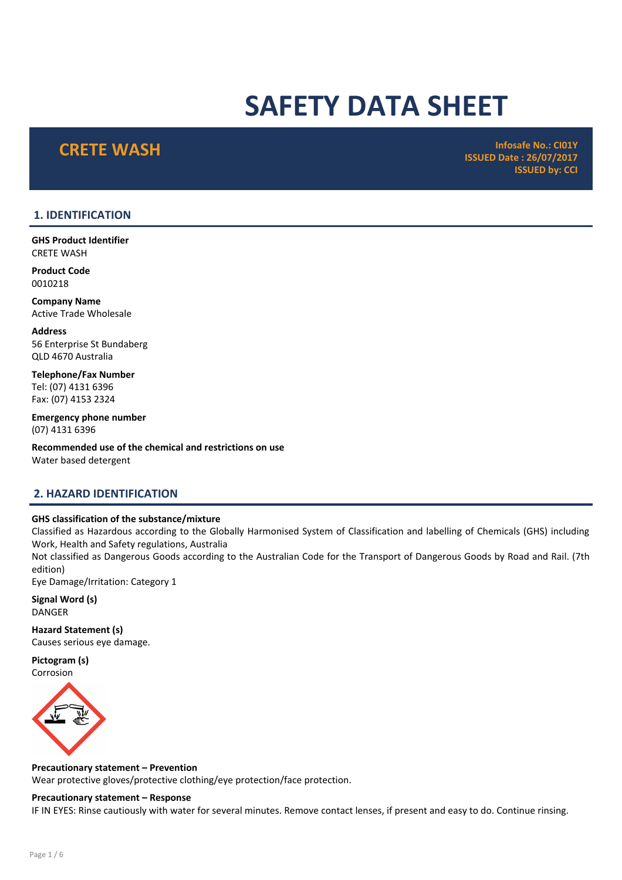# SAFETY DATA SHEET

**CRETE WASH Infosafe No.: CI01Y** ISSUED Date : 26/07/2017 ISSUED by: CCI

### 1. IDENTIFICATION

GHS Product Identifier CRETE WASH

Product Code 0010218

Company Name Active Trade Wholesale

Address 56 Enterprise St Bundaberg QLD 4670 Australia

Telephone/Fax Number Tel: (07) 4131 6396 Fax: (07) 4153 2324

Emergency phone number (07) 4131 6396

Recommended use of the chemical and restrictions on use Water based detergent

### 2. HAZARD IDENTIFICATION

### GHS classification of the substance/mixture

Classified as Hazardous according to the Globally Harmonised System of Classification and labelling of Chemicals (GHS) including Work, Health and Safety regulations, Australia

Not classified as Dangerous Goods according to the Australian Code for the Transport of Dangerous Goods by Road and Rail. (7th edition)

Eye Damage/Irritation: Category 1

Signal Word (s) DANGER

Hazard Statement (s) Causes serious eye damage.

Pictogram (s) Corrosion



### Precautionary statement – Prevention

Wear protective gloves/protective clothing/eye protection/face protection.

### Precautionary statement – Response

IF IN EYES: Rinse cautiously with water for several minutes. Remove contact lenses, if present and easy to do. Continue rinsing.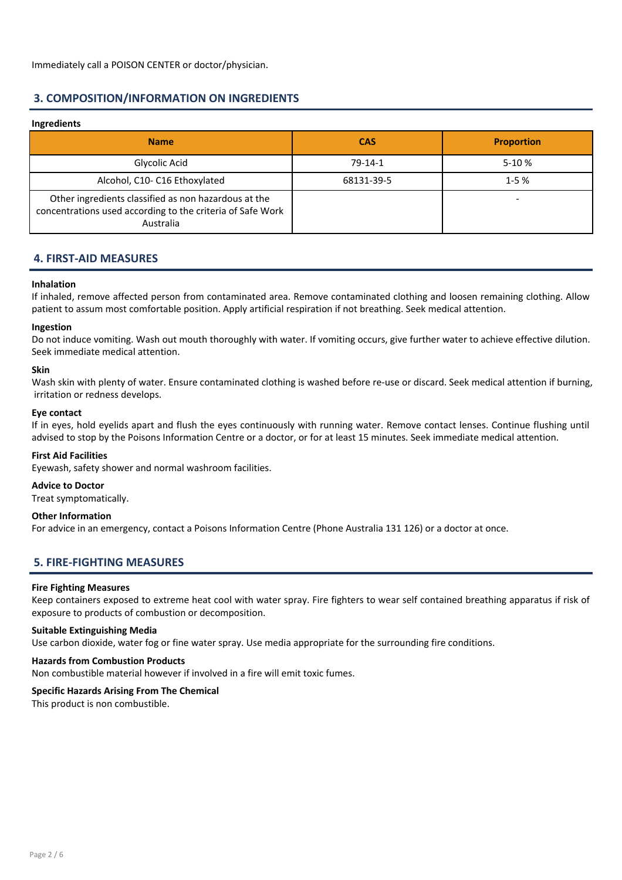### 3. COMPOSITION/INFORMATION ON INGREDIENTS

### Ingredients

| <b>Name</b>                                                                                                                     | <b>CAS</b> | <b>Proportion</b> |
|---------------------------------------------------------------------------------------------------------------------------------|------------|-------------------|
| Glycolic Acid                                                                                                                   | $79-14-1$  | $5-10%$           |
| Alcohol, C10- C16 Ethoxylated                                                                                                   | 68131-39-5 | $1 - 5%$          |
| Other ingredients classified as non hazardous at the<br>concentrations used according to the criteria of Safe Work<br>Australia |            | -                 |

### 4. FIRST-AID MEASURES

### Inhalation

If inhaled, remove affected person from contaminated area. Remove contaminated clothing and loosen remaining clothing. Allow patient to assum most comfortable position. Apply artificial respiration if not breathing. Seek medical attention.

### Ingestion

Do not induce vomiting. Wash out mouth thoroughly with water. If vomiting occurs, give further water to achieve effective dilution. Seek immediate medical attention.

### Skin

Wash skin with plenty of water. Ensure contaminated clothing is washed before re-use or discard. Seek medical attention if burning, irritation or redness develops.

### Eye contact

If in eyes, hold eyelids apart and flush the eyes continuously with running water. Remove contact lenses. Continue flushing until advised to stop by the Poisons Information Centre or a doctor, or for at least 15 minutes. Seek immediate medical attention.

### First Aid Facilities

Eyewash, safety shower and normal washroom facilities.

### Advice to Doctor

Treat symptomatically.

### Other Information

For advice in an emergency, contact a Poisons Information Centre (Phone Australia 131 126) or a doctor at once.

### 5. FIRE-FIGHTING MEASURES

### Fire Fighting Measures

Keep containers exposed to extreme heat cool with water spray. Fire fighters to wear self contained breathing apparatus if risk of exposure to products of combustion or decomposition.

### Suitable Extinguishing Media

Use carbon dioxide, water fog or fine water spray. Use media appropriate for the surrounding fire conditions.

### Hazards from Combustion Products

Non combustible material however if involved in a fire will emit toxic fumes.

### Specific Hazards Arising From The Chemical

This product is non combustible.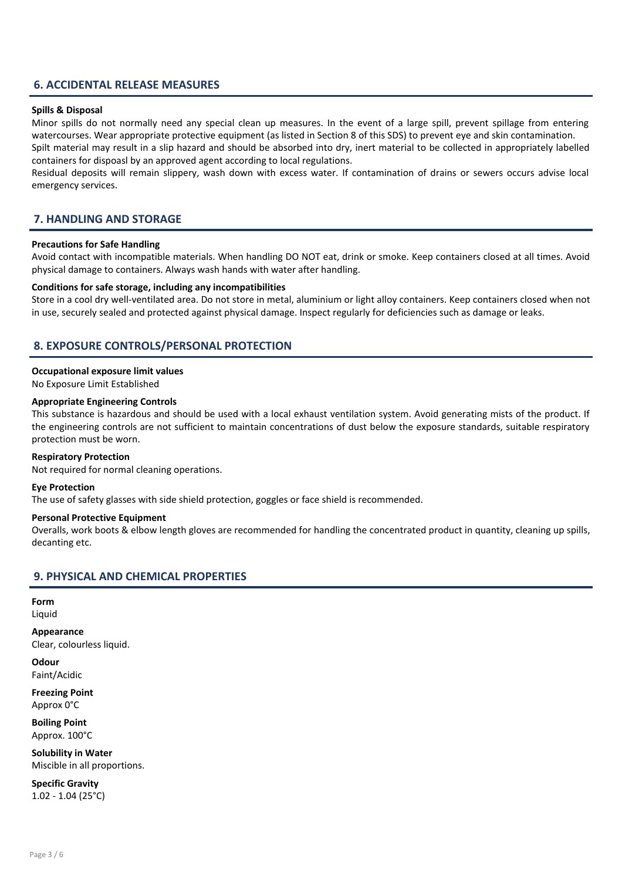### 6. ACCIDENTAL RELEASE MEASURES

### Spills & Disposal

Minor spills do not normally need any special clean up measures. In the event of a large spill, prevent spillage from entering watercourses. Wear appropriate protective equipment (as listed in Section 8 of this SDS) to prevent eye and skin contamination. Spilt material may result in a slip hazard and should be absorbed into dry, inert material to be collected in appropriately labelled containers for dispoasl by an approved agent according to local regulations.

Residual deposits will remain slippery, wash down with excess water. If contamination of drains or sewers occurs advise local emergency services.

### 7. HANDLING AND STORAGE

### Precautions for Safe Handling

Avoid contact with incompatible materials. When handling DO NOT eat, drink or smoke. Keep containers closed at all times. Avoid physical damage to containers. Always wash hands with water after handling.

### Conditions for safe storage, including any incompatibilities

Store in a cool dry well-ventilated area. Do not store in metal, aluminium or light alloy containers. Keep containers closed when not in use, securely sealed and protected against physical damage. Inspect regularly for deficiencies such as damage or leaks.

### 8. EXPOSURE CONTROLS/PERSONAL PROTECTION

### Occupational exposure limit values

No Exposure Limit Established

### Appropriate Engineering Controls

This substance is hazardous and should be used with a local exhaust ventilation system. Avoid generating mists of the product. If the engineering controls are not sufficient to maintain concentrations of dust below the exposure standards, suitable respiratory protection must be worn.

### Respiratory Protection

Not required for normal cleaning operations.

Eye Protection

The use of safety glasses with side shield protection, goggles or face shield is recommended.

### Personal Protective Equipment

Overalls, work boots & elbow length gloves are recommended for handling the concentrated product in quantity, cleaning up spills, decanting etc.

### 9. PHYSICAL AND CHEMICAL PROPERTIES

### Form Liquid

Appearance Clear, colourless liquid.

Odour Faint/Acidic

Freezing Point Approx 0°C

Boiling Point Approx. 100°C

Solubility in Water Miscible in all proportions.

Specific Gravity 1.02 - 1.04 (25°C)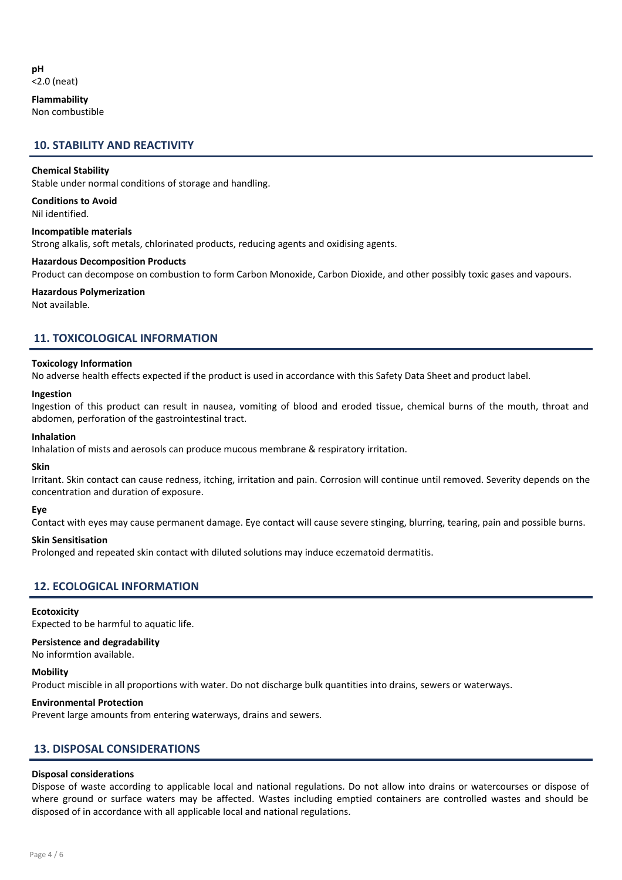pH <2.0 (neat)

Flammability Non combustible

### 10. STABILITY AND REACTIVITY

### Chemical Stability

Stable under normal conditions of storage and handling.

### Conditions to Avoid

Nil identified.

### Incompatible materials

Strong alkalis, soft metals, chlorinated products, reducing agents and oxidising agents.

### Hazardous Decomposition Products

Product can decompose on combustion to form Carbon Monoxide, Carbon Dioxide, and other possibly toxic gases and vapours.

### Hazardous Polymerization

Not available.

### 11. TOXICOLOGICAL INFORMATION

### Toxicology Information

No adverse health effects expected if the product is used in accordance with this Safety Data Sheet and product label.

#### Ingestion

Ingestion of this product can result in nausea, vomiting of blood and eroded tissue, chemical burns of the mouth, throat and abdomen, perforation of the gastrointestinal tract.

### Inhalation

Inhalation of mists and aerosols can produce mucous membrane & respiratory irritation.

### Skin

Irritant. Skin contact can cause redness, itching, irritation and pain. Corrosion will continue until removed. Severity depends on the concentration and duration of exposure.

### Eye

Contact with eyes may cause permanent damage. Eye contact will cause severe stinging, blurring, tearing, pain and possible burns.

### Skin Sensitisation

Prolonged and repeated skin contact with diluted solutions may induce eczematoid dermatitis.

### 12. ECOLOGICAL INFORMATION

### **Ecotoxicity**

Expected to be harmful to aquatic life.

### Persistence and degradability

No informtion available.

### Mobility

Product miscible in all proportions with water. Do not discharge bulk quantities into drains, sewers or waterways.

### Environmental Protection

Prevent large amounts from entering waterways, drains and sewers.

### 13. DISPOSAL CONSIDERATIONS

### Disposal considerations

Dispose of waste according to applicable local and national regulations. Do not allow into drains or watercourses or dispose of where ground or surface waters may be affected. Wastes including emptied containers are controlled wastes and should be disposed of in accordance with all applicable local and national regulations.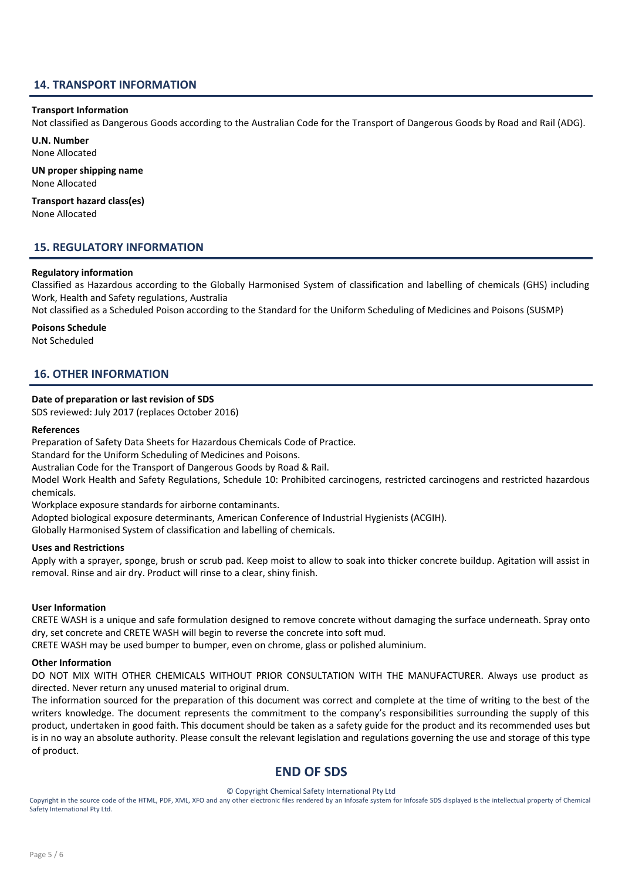### 14. TRANSPORT INFORMATION

### Transport Information

Not classified as Dangerous Goods according to the Australian Code for the Transport of Dangerous Goods by Road and Rail (ADG).

U.N. Number None Allocated

UN proper shipping name None Allocated

Transport hazard class(es) None Allocated

### 15. REGULATORY INFORMATION

### Regulatory information

Classified as Hazardous according to the Globally Harmonised System of classification and labelling of chemicals (GHS) including Work, Health and Safety regulations, Australia

Not classified as a Scheduled Poison according to the Standard for the Uniform Scheduling of Medicines and Poisons (SUSMP)

#### Poisons Schedule

Not Scheduled

### 16. OTHER INFORMATION

#### Date of preparation or last revision of SDS

SDS reviewed: July 2017 (replaces October 2016)

#### References

Preparation of Safety Data Sheets for Hazardous Chemicals Code of Practice.

Standard for the Uniform Scheduling of Medicines and Poisons.

Australian Code for the Transport of Dangerous Goods by Road & Rail.

Model Work Health and Safety Regulations, Schedule 10: Prohibited carcinogens, restricted carcinogens and restricted hazardous chemicals.

Workplace exposure standards for airborne contaminants.

Adopted biological exposure determinants, American Conference of Industrial Hygienists (ACGIH).

Globally Harmonised System of classification and labelling of chemicals.

### Uses and Restrictions

Apply with a sprayer, sponge, brush or scrub pad. Keep moist to allow to soak into thicker concrete buildup. Agitation will assist in removal. Rinse and air dry. Product will rinse to a clear, shiny finish.

#### User Information

CRETE WASH is a unique and safe formulation designed to remove concrete without damaging the surface underneath. Spray onto dry, set concrete and CRETE WASH will begin to reverse the concrete into soft mud.

CRETE WASH may be used bumper to bumper, even on chrome, glass or polished aluminium.

#### Other Information

DO NOT MIX WITH OTHER CHEMICALS WITHOUT PRIOR CONSULTATION WITH THE MANUFACTURER. Always use product as directed. Never return any unused material to original drum.

The information sourced for the preparation of this document was correct and complete at the time of writing to the best of the writers knowledge. The document represents the commitment to the company's responsibilities surrounding the supply of this product, undertaken in good faith. This document should be taken as a safety guide for the product and its recommended uses but is in no way an absolute authority. Please consult the relevant legislation and regulations governing the use and storage of this type of product.

## END OF SDS

#### © Copyright Chemical Safety International Pty Ltd

Copyright in the source code of the HTML, PDF, XML, XFO and any other electronic files rendered by an Infosafe system for Infosafe SDS displayed is the intellectual property of Chemical Safety International Pty Ltd.